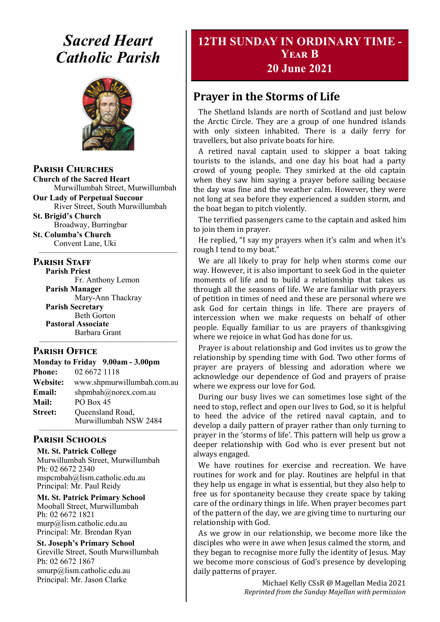# *Sacred Heart Catholic Parish*



#### **Parish Churches**

**Church of the Sacred Heart** Murwillumbah Street, Murwillumbah

**Our Lady of Perpetual Succour** River Street, South Murwillumbah

**St. Brigid's Church** Broadway, Burringbar

**St. Columba's Church** Convent Lane, Uki —————————————————

#### **PARISH STAFF**

**Parish Priest**

Fr. Anthony Lemon **Parish Manager** Mary-Ann Thackray **Parish Secretary** Beth Gorton **Pastoral Associate** Barbara Grant

#### **Parish Office**

| Monday to Friday 9.00am - 3.00pm |                            |
|----------------------------------|----------------------------|
| <b>Phone:</b>                    | 02 6672 1118               |
| <b>Website:</b>                  | www.shpmurwillumbah.com.au |
| Email:                           | shpmbah@norex.com.au       |
| <b>Mail:</b>                     | PO Box 45                  |
| <b>Street:</b>                   | Queensland Road,           |
|                                  | Murwillumbah NSW 2484      |

—————————————————

—————————————————

#### **Parish Schools**

**Mt. St. Patrick College** Murwillumbah Street, Murwillumbah Ph: 02 6672 2340 mspcmbah@lism.catholic.edu.au Principal: Mr. Paul Reidy

**Mt. St. Patrick Primary School** Mooball Street, Murwillumbah Ph: 02 6672 1821 murp@lism.catholic.edu.au Principal: Mr. Brendan Ryan

**St. Joseph's Primary School** Greville Street, South Murwillumbah Ph: 02 6672 1867 smurp@lism.catholic.edu.au Principal: Mr. Jason Clarke

# **12TH SUNDAY IN ORDINARY TIME - Year B 20 June 2021**

# **Prayer in the Storms of Life**

The Shetland Islands are north of Scotland and just below the Arctic Circle. They are a group of one hundred islands with only sixteen inhabited. There is a daily ferry for travellers, but also private boats for hire.

A retired naval captain used to skipper a boat taking tourists to the islands, and one day his boat had a party crowd of young people. They smirked at the old captain when they saw him saying a prayer before sailing because the day was fine and the weather calm. However, they were not long at sea before they experienced a sudden storm, and the boat began to pitch violently.

The terrified passengers came to the captain and asked him to join them in prayer.

He replied, "I say my prayers when it's calm and when it's rough I tend to my boat."

We are all likely to pray for help when storms come our way. However, it is also important to seek God in the quieter moments of life and to build a relationship that takes us through all the seasons of life. We are familiar with prayers of petition in times of need and these are personal where we ask God for certain things in life. There are prayers of intercession when we make requests on behalf of other people. Equally familiar to us are prayers of thanksgiving where we rejoice in what God has done for us.

Prayer is about relationship and God invites us to grow the relationship by spending time with God. Two other forms of prayer are prayers of blessing and adoration where we acknowledge our dependence of God and prayers of praise where we express our love for God.

During our busy lives we can sometimes lose sight of the need to stop, reflect and open our lives to God, so it is helpful to heed the advice of the retired naval captain, and to develop a daily pattern of prayer rather than only turning to prayer in the 'storms of life'. This pattern will help us grow a deeper relationship with God who is ever present but not always engaged.

We have routines for exercise and recreation. We have routines for work and for play. Routines are helpful in that they help us engage in what is essential, but they also help to free us for spontaneity because they create space by taking care of the ordinary things in life. When prayer becomes part of the pattern of the day, we are giving time to nurturing our relationship with God.

As we grow in our relationship, we become more like the disciples who were in awe when Jesus calmed the storm, and they began to recognise more fully the identity of Jesus. May we become more conscious of God's presence by developing daily patterns of prayer.

> Michael Kelly CSsR @ Magellan Media 2021 *Reprinted from the Sunday Majellan with permission*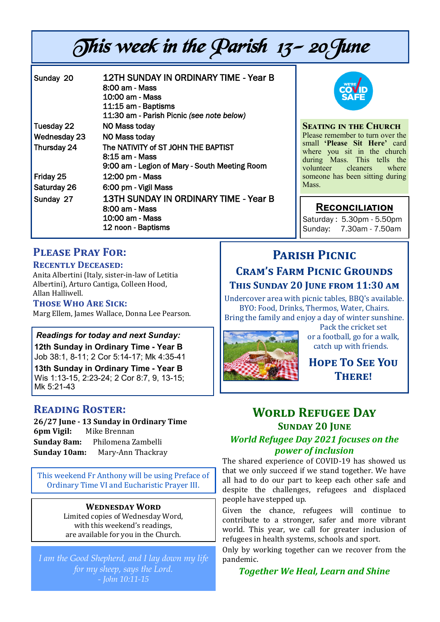# This week in the Parish 13- 20June

| Sunday 20    | 12TH SUNDAY IN ORDINARY TIME - Year B<br>8:00 am - Mass<br>10:00 am - Mass<br>11:15 am - Baptisms<br>11:30 am - Parish Picnic (see note below) |
|--------------|------------------------------------------------------------------------------------------------------------------------------------------------|
| Tuesday 22   | NO Mass today                                                                                                                                  |
| Wednesday 23 | NO Mass today                                                                                                                                  |
| Thursday 24  | The NATIVITY of ST JOHN THE BAPTIST<br>8:15 am - Mass<br>9:00 am - Legion of Mary - South Meeting Room                                         |
| Friday 25    | 12:00 pm - Mass                                                                                                                                |
| Saturday 26  | 6:00 pm - Vigil Mass                                                                                                                           |
| Sunday 27    | 13TH SUNDAY IN ORDINARY TIME - Year B<br>8:00 am - Mass<br>10:00 am - Mass<br>12 noon - Baptisms                                               |



**Seating in the Church** Please remember to turn over the small **'Please Sit Here'** card where you sit in the church during Mass. This tells the<br>volunteer cleaners where volunteer someone has been sitting during Mass.

### **Reconciliation**

Saturday : 5.30pm - 5.50pm Sunday: 7.30am - 7.50am

# **Please Pray For:**

#### **Recently Deceased:**

Anita Albertini (Italy, sister-in-law of Letitia Albertini), Arturo Cantiga, Colleen Hood, Allan Halliwell.

#### **Those Who Are Sick:**

Marg Ellem, James Wallace, Donna Lee Pearson.

#### *Readings for today and next Sunday:*

**12th Sunday in Ordinary Time - Year B**  Job 38:1, 8-11; 2 Cor 5:14-17; Mk 4:35-41

**13th Sunday in Ordinary Time - Year B**  Wis 1:13-15, 2:23-24; 2 Cor 8:7, 9, 13-15; Mk 5:21-43

### **Reading Roster:**

**26/27 June - 13 Sunday in Ordinary Time 6pm Vigil:** Mike Brennan **Sunday 8am:** Philomena Zambelli **Sunday 10am:** Mary-Ann Thackray

This weekend Fr Anthony will be using Preface of Ordinary Time VI and Eucharistic Prayer III.

#### **Wednesday Word**

Limited copies of Wednesday Word, with this weekend's readings, are available for you in the Church.

*I am the Good Shepherd, and I lay down my life for my sheep, says the Lord. - John 10:11-15*

# **Parish Picnic Cram's Farm Picnic Grounds This Sunday 20 June from 11:30 am**

Undercover area with picnic tables, BBQ's available. BYO: Food, Drinks, Thermos, Water, Chairs. Bring the family and enjoy a day of winter sunshine.



Pack the cricket set or a football, go for a walk, catch up with friends.

**Hope To See You There!** 

# **World Refugee Day Sunday 20 June** *World Refugee Day 2021 focuses on the power of inclusion*

The shared experience of COVID-19 has showed us that we only succeed if we stand together. We have all had to do our part to keep each other safe and despite the challenges, refugees and displaced people have stepped up.

Given the chance, refugees will continue to contribute to a stronger, safer and more vibrant world. This year, we call for greater inclusion of refugees in health systems, schools and sport.

Only by working together can we recover from the pandemic.

*Together We Heal, Learn and Shine*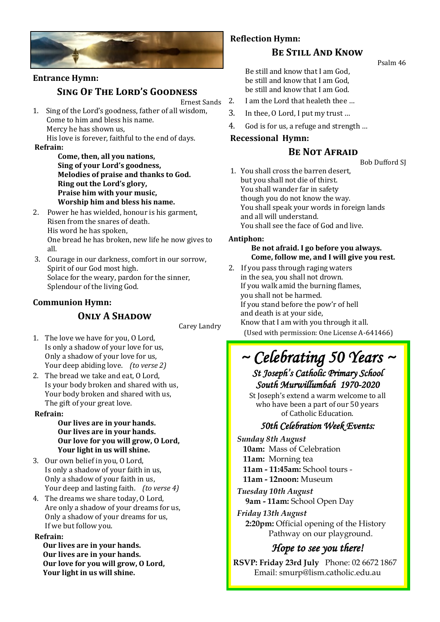

# **Entrance Hymn:**

#### **Sing Of The Lord's Goodness**

Ernest Sands

1. Sing of the Lord's goodness, father of all wisdom, Come to him and bless his name. Mercy he has shown us, His love is forever, faithful to the end of days.

**Refrain:** 

- **Come, then, all you nations, Sing of your Lord's goodness, Melodies of praise and thanks to God. Ring out the Lord's glory, Praise him with your music, Worship him and bless his name.**
- 2. Power he has wielded, honour is his garment, Risen from the snares of death. His word he has spoken, One bread he has broken, new life he now gives to all.
- 3. Courage in our darkness, comfort in our sorrow, Spirit of our God most high. Solace for the weary, pardon for the sinner, Splendour of the living God.

#### **Communion Hymn:**

### **ONLY A SHADOW**

Carey Landry

- 1. The love we have for you, O Lord, Is only a shadow of your love for us, Only a shadow of your love for us, Your deep abiding love. *(to verse 2)*
- 2. The bread we take and eat, O Lord, Is your body broken and shared with us, Your body broken and shared with us, The gift of your great love.

#### **Refrain:**

#### **Our lives are in your hands. Our lives are in your hands. Our love for you will grow, O Lord, Your light in us will shine.**

- 3. Our own belief in you, O Lord, Is only a shadow of your faith in us, Only a shadow of your faith in us, Your deep and lasting faith. *(to verse 4)*
- 4. The dreams we share today, O Lord, Are only a shadow of your dreams for us, Only a shadow of your dreams for us, If we but follow you.

#### **Refrain:**

**Our lives are in your hands. Our lives are in your hands. Our love for you will grow, O Lord, Your light in us will shine.** 

#### **Reflection Hymn:**

#### **Be Still And Know**

Psalm 46

Be still and know that I am God, be still and know that I am God, be still and know that I am God.

- 2. I am the Lord that healeth thee …
- 3. In thee, O Lord, I put my trust …
- 4. God is for us, a refuge and strength …

#### **Recessional Hymn:**

#### **BE NOT AFRAID**

Bob Dufford SJ

1. You shall cross the barren desert, but you shall not die of thirst. You shall wander far in safety though you do not know the way. You shall speak your words in foreign lands and all will understand. You shall see the face of God and live.

#### **Antiphon:**

#### **Be not afraid. I go before you always. Come, follow me, and I will give you rest.**

2. If you pass through raging waters in the sea, you shall not drown. If you walk amid the burning flames, you shall not be harmed. If you stand before the pow'r of hell and death is at your side, Know that I am with you through it all. (Used with permission: One License A-641466)

# *~ Celebrating 50 Years ~ St Joseph's Catholic Primary School*

# *South Murwillumbah 1970-2020*

St Joseph's extend a warm welcome to all who have been a part of our 50 years of Catholic Education.

### *50th Celebration Week Events:*

*Sunday 8th August*  **10am:** Mass of Celebration **11am:** Morning tea **11am - 11:45am:** School tours - **11am - 12noon:** Museum

*Tuesday 10th August*  **9am - 11am:** School Open Day

*Friday 13th August*  **2:20pm:** Official opening of the History Pathway on our playground.

# *Hope to see you there!*

**RSVP: Friday 23rd July** Phone: 02 6672 1867 Email: smurp@lism.catholic.edu.au